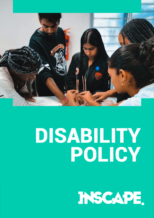

# DISABILITY POLICY

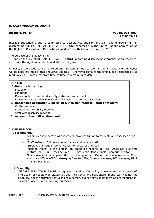### **INSCAPE EDUCATION GROUP**

## **Disability Policy V2018, U01, R03 2018/03/01**

Inscape Education Group is committed to acceptance, equality, inclusion and empowerment of disabled individuals. INSCAPE EDUCATION GROUP endorses fully the United Nations Convention on the Rights of Persons with Disabilities signed into South African law in June 2007.

The purpose of this policy is to:

- outline the role of INSCAPE EDUCATION GROUP regarding disability best practice at our facilities
- clarify the rights of students and staff/employees

All Policy's & Procedures are reviewed and updated as necessary on a regular basis, and employees will be kept informed of these reviews/updates. It however remains the employee's responsibility to read Policy's & Procedures from time to time to remain up to date.

# **CONTENT Definitions** Terminology Disability Language Discrimination based on disability – staff and/or student Reasonable adaptation & inclusion & inclusion – staff and/or student 1. **Reasonable adaptation & inclusion & inclusion request – staff or student**  Written request Student with disability meeting Staff with disability meeting 2. **Access to the built environment**

### **1. DEFINITIONS**

### i. **Terminology**

- A 'Lecturer' is a person who instructs, provides tuition to students and assesses their work
- 'Staff' refers to full time administrative and service staff
- 'Employee' is used interchangeably for Lecturer and staff
- 'Manager/ment' is the person an employee reports to, e.g. Associate Full-time Lecturer(AFL), Full-Time Lecturer(FTL), Academic Manager (AM), Campus Director (CD), Online Academic Manager(OAM), and Company and Department Managers, i.e. Chief executive Officer (CEO), Managing Director(MD), Finance Manager, ICT Manager, HR & Training Manager.

### ii. **Disability**

INSCAPE EDUCATION GROUP recognises that disability policy is necessary as a result of, interaction of people with disabilities and their social and built environment, e.g. it is not the disability, nor the crutches that disables a person, but society's stigmatism and categorisation, as well as access into a building/premises.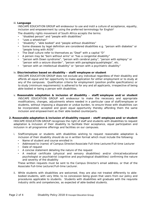### iii. **Language**

INSCAPE EDUCATION GROUP will endeavour to use and instil a culture of acceptance, equality, inclusion and empowerment by using the preferred terminology for English<sup>1</sup>

The disability rights movement of South Africa accepts the terms:

- "disabled person" and "people with disabilities"
- "uses a wheelchair"
- "disability", "able bodied" and "people without disabilities"
- Some diseases by legal definition are considered disabilities e.g. "person with diabetes" or "people living with AIDS"
- The Deaf culture refer to themselves as "Deaf" with a capital "D"
- A person may be "born without arms" or "has a congenital disability"
- "person with Down syndrome", "person with cerebral palsy", "person with epilepsy" or "person with a seizure disorder", "person with paraplegia/quadriplegia", etc.
- "person with an intellectual disability" or "person with a psychiatric disability"

### iv. **Discrimination based on disability – staff/employee or student**

INSCAPE EDUCATION GROUP does not exclude any individual regardless of their disability and affords all equal and fair opportunity to make application for either employment or to study at any of the campuses. Qualification criteria for employment (position profile specifications) or to study (minimum requirements) is adhered to for any and all applicants, irrespective of being able-bodied or being a person with disabilities.

- v. **Reasonable adaptation & inclusion of disability staff/employee and/or student**  INSCAPE EDUCATION GROUP will endeavour to make the necessary and appropriate modifications, changes, adjustments where needed in a particular case of staff/employee or students, without imposing a disparate or undue burden, to ensure those with disabilities can be incorporated, accepted and given equal opportunity thereby affording them the same inclusion and empowerment as their able-bodied counterparts.
- **2. Reasonable adaptation & inclusion of disability request staff/employee and/or student**  INSCAPE EDUCATION GROUP recognises the right of staff and students with disabilities to request adaptation & inclusion of their disability to facilitate their acceptance, equal participation and inclusion in all programme offerings and facilities on our campuses.
	- i. Staff/employee or students with disabilities wishing to request reasonable adaptation & inclusion of their disability should do so in written format which must include the following:
		- Name of student and course enrolled in
		- Addressed to (name) of Campus Director/Associate Full-time Lecturer/Full-time Lecturer
		- Date of request
		- A concise statement detailing the nature of the request
		- A medical certificate (physical and sensory disabilities) and/or clinical/educational psychologist or psychiatrist (cognitive and psychological disabilities) confirming the nature and severity of the disability

These written requests must be sent to the Campus Director's email address, or that of the Associate Full-time Lecturer/Full-time Lecturer.

ii. While students with disabilities are welcomed, they are also not treated differently to ablebodied students, with very little, to no concession being given that veers from our policy and procedures applicable to students. Students with disabilities will graduate with the requisite industry skills and competencies, as expected of able-bodied students.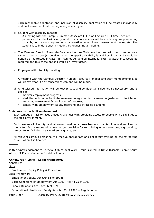Each reasonable adaptation and inclusion of disability application will be treated individually and on its own merits at the beginning of each year:

- iii. Student with disability meeting:
	- A meeting with the Campus Director, Associate Full-time Lecturer, Full-time Lecturer, parents and student will clarify what, if any concessions will be made, e.g. supplementing curricula, course work requirements, alternative but equivalent assessment modes, etc. The student is to initiate such a meeting by requesting a meeting.
- iv. The Campus Director/Associate Full-time Lecturer/Full-time Lecturer will then communicate same to the Lecturer(s) detailing what the specific disability is and how it can and should be handled or addressed in class. If it cannot be handled internally, external assistance would be required and this/these options would be investigated.
- v. Employee with disability meeting

A meeting with the Campus Director, Human Resource Manager and staff member/employee will clarify what, if any concessions can and will be made.

- vi. All disclosed information will be kept private and confidential if deemed so necessary, and is used to:
	- monitor employment progress
	- alert the lecturer to facilitate seamless integration into classes, adjustment to facilitation methods, assessment & monitoring of progress,
	- comply with Employment Equity reporting and strategic planning

### **3. Access to the built environment**

Each campus or facility faces unique challenges with providing access to people with disabilities to the built environment.

Each campus will identify, and wherever possible, address barriers to all facilities and services on their site. Each campus will make budget provision for retrofitting access solutions, e.g. parking, ramps, toilet facilities, stair markers, signage, etc.

All relevant campus personnel will receive appropriate and obligatory training on the retrofitting as and when it is finalised.

With acknowledgement to Patricia Digh of Real Work Group sighted in DPSA (Disable People South Africa) "A Pocket Guide on Disability Equity

### **Annexures / Links / Legal Framework:**

Annexures

Links

∙ Employment Equity Policy & Procedure

Legal Framework

- ∙ Employment Equity Act (Act 55 of 1998)
- ∙ Basic Conditions of Employment Act 1997 (Act No 75 of 1997)
- ∙ Labour Relations Act, (Act 66 of 1995)
- ∙ Occupational Health and Safety Act (Act 85 of 1993 + Regulations)

Page 3 of 4 Disability Policy 2018 © Inscape Education Group